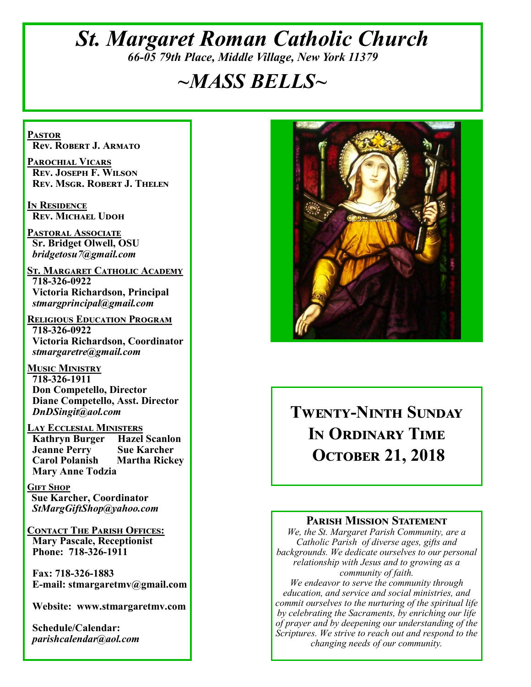# *St. Margaret Roman Catholic Church 66-05 79th Place, Middle Village, New York 11379*

# *~MASS BELLS~*

**Pastor Rev. Robert J. Armato**

**Parochial Vicars Rev. Joseph F. Wilson Rev. Msgr. Robert J. Thelen**

**In Residence Rev. Michael Udoh**

**Pastoral Associate Sr. Bridget Olwell, OSU**  *bridgetosu7@gmail.com*

**St. Margaret Catholic Academy 718-326-0922 Victoria Richardson, Principal**  *stmargprincipal@gmail.com*

**Religious Education Program 718-326-0922 Victoria Richardson, Coordinator** *stmargaretre@gmail.com*

**Music Ministry 718-326-1911 Don Competello, Director Diane Competello, Asst. Director** *DnDSingit@aol.com*

**Lay Ecclesial Ministers Kathryn Burger Jeanne Perry Sue Karcher Carol Polanish Martha Rickey Mary Anne Todzia**

**Gift Shop Sue Karcher, Coordinator** *StMargGiftShop@yahoo.com*

**Contact The Parish Offices: Mary Pascale, Receptionist Phone: 718-326-1911** 

 **Fax: 718-326-1883 E-mail: stmargaretmv@gmail.com**

 **Website: www.stmargaretmv.com**

 **Schedule/Calendar:** *parishcalendar@aol.com* 



**Twenty-Ninth Sunday In Ordinary Time October 21, 2018** 

#### **Parish Mission Statement**

*We, the St. Margaret Parish Community, are a Catholic Parish of diverse ages, gifts and backgrounds. We dedicate ourselves to our personal relationship with Jesus and to growing as a community of faith.*

*We endeavor to serve the community through education, and service and social ministries, and commit ourselves to the nurturing of the spiritual life by celebrating the Sacraments, by enriching our life of prayer and by deepening our understanding of the Scriptures. We strive to reach out and respond to the changing needs of our community.*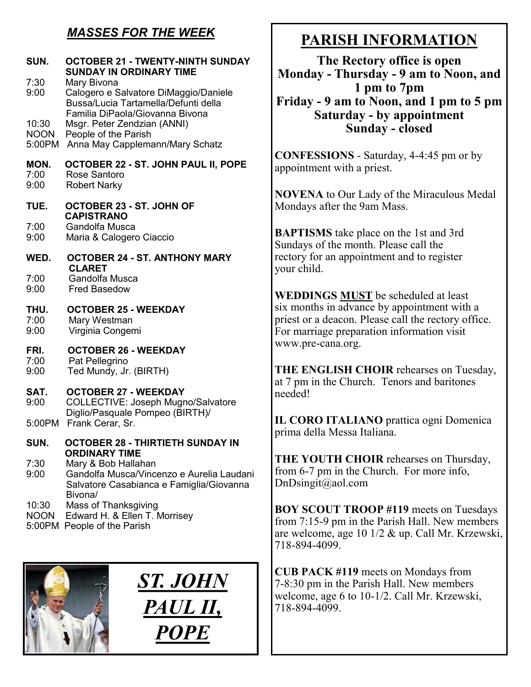# *MASSES FOR THE WEEK*

| SUN.<br>7:30                   | <b>OCTOBER 21 - TWENTY-NINTH SUNDAY</b><br><b>SUNDAY IN ORDINARY TIME</b><br>Mary Bivona                         |
|--------------------------------|------------------------------------------------------------------------------------------------------------------|
| 9:00                           | Calogero e Salvatore DiMaggio/Daniele<br>Bussa/Lucia Tartamella/Defunti della<br>Familia DiPaola/Giovanna Bivona |
| 10:30<br><b>NOON</b><br>5:00PM | Msgr. Peter Zendzian (ANNI)<br>People of the Parish<br>Anna May Capplemann/Mary Schatz                           |
| MON.<br>7:00<br>9:00           | OCTOBER 22 - ST. JOHN PAUL II, POPE<br>Rose Santoro<br><b>Robert Narky</b>                                       |
| TUE.                           | OCTOBER 23 - ST. JOHN OF<br><b>CAPISTRANO</b>                                                                    |
| 7:00<br>9:00                   | Gandolfa Musca<br>Maria & Calogero Ciaccio                                                                       |
| WED.                           | <b>OCTOBER 24 - ST. ANTHONY MARY</b><br><b>CLARET</b>                                                            |
| 7:00<br>9:00                   | Gandolfa Musca<br><b>Fred Basedow</b>                                                                            |
| THU.<br>7:00<br>9:00           | <b>OCTOBER 25 - WEEKDAY</b><br>Mary Westman<br>Virginia Congemi                                                  |
| FRI.<br>7:00<br>9:00           | <b>OCTOBER 26 - WEEKDAY</b><br>Pat Pellegrino<br>Ted Mundy, Jr. (BIRTH)                                          |
| SAT.<br>9:00                   | <b>OCTOBER 27 - WEEKDAY</b><br><b>COLLECTIVE: Joseph Mugno/Salvatore</b><br>Diglio/Pasquale Pompeo (BIRTH)/      |
|                                | 5:00PM Frank Cerar, Sr.                                                                                          |
| SUN.                           | <b>OCTOBER 28 - THIRTIETH SUNDAY IN</b><br><b>ORDINARY TIME</b>                                                  |
| 7:30<br>9:00                   | Mary & Bob Hallahan<br>Gandolfa Musca/Vincenzo e Aurelia Laudani<br>Salvatore Casabianca e Famiglia/Giovanna     |
| 10:30<br><b>NOON</b>           | Bivona/<br>Mass of Thanksgiving<br>Edward H. & Ellen T. Morrisey<br>5:00PM People of the Parish                  |





# **PARISH INFORMATION**

**The Rectory office is open Monday - Thursday - 9 am to Noon, and 1 pm to 7pm Friday - 9 am to Noon, and 1 pm to 5 pm Saturday - by appointment Sunday - closed**

**CONFESSIONS** - Saturday, 4-4:45 pm or by appointment with a priest.

**NOVENA** to Our Lady of the Miraculous Medal Mondays after the 9am Mass.

**BAPTISMS** take place on the 1st and 3rd Sundays of the month. Please call the rectory for an appointment and to register your child.

**WEDDINGS MUST** be scheduled at least six months in advance by appointment with a priest or a deacon. Please call the rectory office. For marriage preparation information visit www.pre-cana.org.

**THE ENGLISH CHOIR** rehearses on Tuesday, at 7 pm in the Church. Tenors and baritones needed!

**IL CORO ITALIANO** prattica ogni Domenica prima della Messa Italiana.

**THE YOUTH CHOIR** rehearses on Thursday, from 6-7 pm in the Church. For more info, DnDsingit@aol.com

**BOY SCOUT TROOP #119** meets on Tuesdays from 7:15-9 pm in the Parish Hall. New members are welcome, age 10 1/2 & up. Call Mr. Krzewski, 718-894-4099.

**CUB PACK #119** meets on Mondays from 7-8:30 pm in the Parish Hall. New members welcome, age 6 to 10-1/2. Call Mr. Krzewski, 718-894-4099.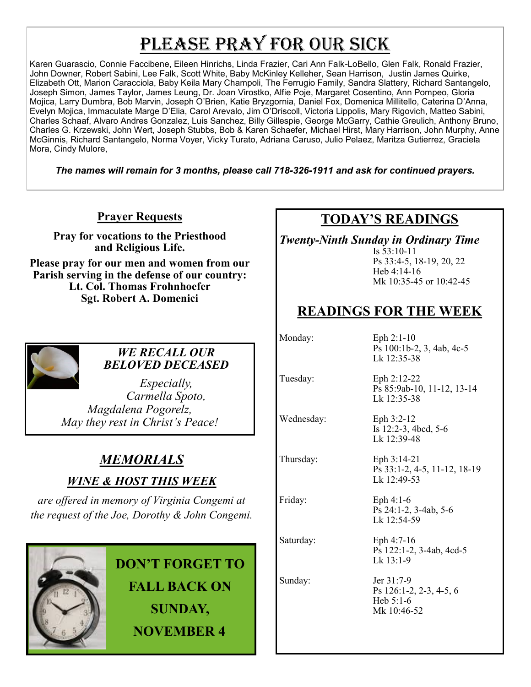# PLEASE PRAY FOR OUR SICK

Karen Guarascio, Connie Faccibene, Eileen Hinrichs, Linda Frazier, Cari Ann Falk-LoBello, Glen Falk, Ronald Frazier, John Downer, Robert Sabini, Lee Falk, Scott White, Baby McKinley Kelleher, Sean Harrison, Justin James Quirke, Elizabeth Ott, Marion Caracciola, Baby Keila Mary Champoli, The Ferrugio Family, Sandra Slattery, Richard Santangelo, Joseph Simon, James Taylor, James Leung, Dr. Joan Virostko, Alfie Poje, Margaret Cosentino, Ann Pompeo, Gloria Mojica, Larry Dumbra, Bob Marvin, Joseph O'Brien, Katie Bryzgornia, Daniel Fox, Domenica Millitello, Caterina D'Anna, Evelyn Mojica, Immaculate Marge D'Elia, Carol Arevalo, Jim O'Driscoll, Victoria Lippolis, Mary Rigovich, Matteo Sabini, Charles Schaaf, Alvaro Andres Gonzalez, Luis Sanchez, Billy Gillespie, George McGarry, Cathie Greulich, Anthony Bruno, Charles G. Krzewski, John Wert, Joseph Stubbs, Bob & Karen Schaefer, Michael Hirst, Mary Harrison, John Murphy, Anne McGinnis, Richard Santangelo, Norma Voyer, Vicky Turato, Adriana Caruso, Julio Pelaez, Maritza Gutierrez, Graciela Mora, Cindy Mulore,

*The names will remain for 3 months, please call 718-326-1911 and ask for continued prayers.*

**Prayer Requests**

**Pray for vocations to the Priesthood and Religious Life.** 

**Please pray for our men and women from our Parish serving in the defense of our country: Lt. Col. Thomas Frohnhoefer Sgt. Robert A. Domenici** 



#### *WE RECALL OUR BELOVED DECEASED*

*Especially, Carmella Spoto, Magdalena Pogorelz, May they rest in Christ's Peace!*

# *MEMORIALS*

## *WINE & HOST THIS WEEK*

*are offered in memory of Virginia Congemi at the request of the Joe, Dorothy & John Congemi.* 



**DON'T FORGET TO FALL BACK ON SUNDAY, NOVEMBER 4**

# **TODAY'S READINGS**

*Twenty-Ninth Sunday in Ordinary Time*

Is 53:10-11 Ps 33:4-5, 18-19, 20, 22 Heb 4:14-16 Mk 10:35-45 or 10:42-45

# **READINGS FOR THE WEEK**

Monday: Eph 2:1-10 Ps 100:1b-2, 3, 4ab, 4c-5 Lk 12:35-38

Wednesday: Eph 3:2-12

Thursday: Eph 3:14-21

Tuesday: Eph 2:12-22 Ps 85:9ab-10, 11-12, 13-14 Lk 12:35-38

> Is 12:2-3, 4bcd, 5-6 Lk 12:39-48

Ps 33:1-2, 4-5, 11-12, 18-19 Lk 12:49-53

Friday: Eph 4:1-6 Ps 24:1-2, 3-4ab, 5-6 Lk 12:54-59

Saturday: Eph 4:7-16 Ps 122:1-2, 3-4ab, 4cd-5 Lk 13:1-9

Sunday: Jer 31:7-9 Ps 126:1-2, 2-3, 4-5, 6 Heb 5:1-6 Mk 10:46-52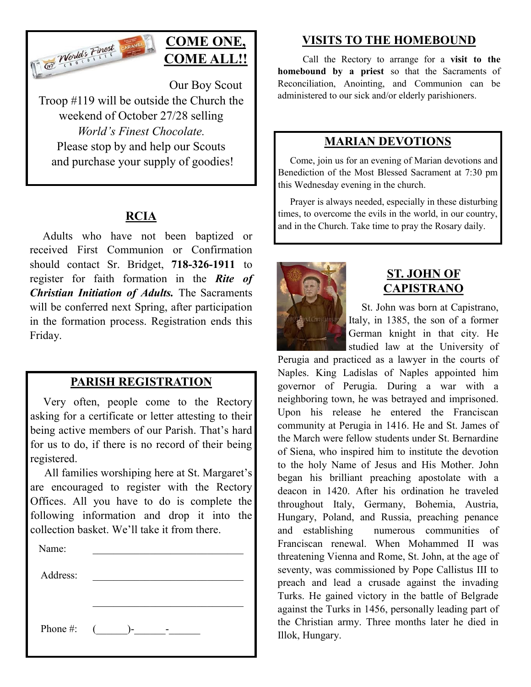

## **COME ONE, COME ALL!!**

Our Boy Scout Troop #119 will be outside the Church the weekend of October 27/28 selling *World's Finest Chocolate.* Please stop by and help our Scouts and purchase your supply of goodies!

#### **RCIA**

 Adults who have not been baptized or received First Communion or Confirmation should contact Sr. Bridget, **718-326-1911** to register for faith formation in the *Rite of Christian Initiation of Adults.* The Sacraments will be conferred next Spring, after participation in the formation process. Registration ends this Friday.

#### **PARISH REGISTRATION**

 Very often, people come to the Rectory asking for a certificate or letter attesting to their being active members of our Parish. That's hard for us to do, if there is no record of their being registered.

 All families worshiping here at St. Margaret's are encouraged to register with the Rectory Offices. All you have to do is complete the following information and drop it into the collection basket. We'll take it from there. Ĭ

| Name:    |                      |
|----------|----------------------|
| Address: |                      |
|          |                      |
|          |                      |
|          | Phone #: $($ $)$ - - |
|          |                      |

#### **VISITS TO THE HOMEBOUND**

 Call the Rectory to arrange for a **visit to the homebound by a priest** so that the Sacraments of Reconciliation, Anointing, and Communion can be administered to our sick and/or elderly parishioners.

#### **MARIAN DEVOTIONS**

 Come, join us for an evening of Marian devotions and Benediction of the Most Blessed Sacrament at 7:30 pm this Wednesday evening in the church.

 Prayer is always needed, especially in these disturbing times, to overcome the evils in the world, in our country, and in the Church. Take time to pray the Rosary daily.



#### **ST. JOHN OF CAPISTRANO**

 St. John was born at Capistrano, Italy, in 1385, the son of a former German knight in that city. He studied law at the University of

Perugia and practiced as a lawyer in the courts of Naples. King Ladislas of Naples appointed him governor of Perugia. During a war with a neighboring town, he was betrayed and imprisoned. Upon his release he entered the Franciscan community at Perugia in 1416. He and St. James of the March were fellow students under St. Bernardine of Siena, who inspired him to institute the devotion to the holy Name of Jesus and His Mother. John began his brilliant preaching apostolate with a deacon in 1420. After his ordination he traveled throughout Italy, Germany, Bohemia, Austria, Hungary, Poland, and Russia, preaching penance and establishing numerous communities of Franciscan renewal. When Mohammed II was threatening Vienna and Rome, St. John, at the age of seventy, was commissioned by Pope Callistus III to preach and lead a crusade against the invading Turks. He gained victory in the battle of Belgrade against the Turks in 1456, personally leading part of the Christian army. Three months later he died in Illok, Hungary.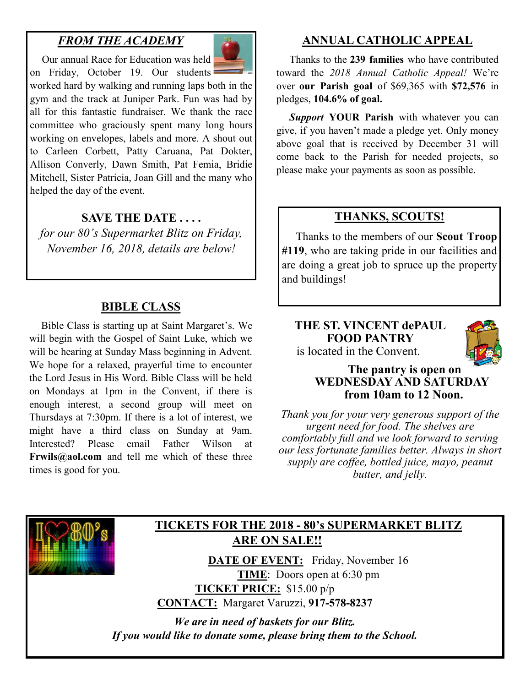### *FROM THE ACADEMY*



on Friday, October 19. Our students worked hard by walking and running laps both in the gym and the track at Juniper Park. Fun was had by all for this fantastic fundraiser. We thank the race committee who graciously spent many long hours working on envelopes, labels and more. A shout out to Carleen Corbett, Patty Caruana, Pat Dokter, Allison Converly, Dawn Smith, Pat Femia, Bridie Mitchell, Sister Patricia, Joan Gill and the many who helped the day of the event.

#### **SAVE THE DATE . . . .**

*for our 80's Supermarket Blitz on Friday, November 16, 2018, details are below!* 

#### **BIBLE CLASS**

 Bible Class is starting up at Saint Margaret's. We will begin with the Gospel of Saint Luke, which we will be hearing at Sunday Mass beginning in Advent. We hope for a relaxed, prayerful time to encounter the Lord Jesus in His Word. Bible Class will be held on Mondays at 1pm in the Convent, if there is enough interest, a second group will meet on Thursdays at 7:30pm. If there is a lot of interest, we might have a third class on Sunday at 9am. Interested? Please email Father Wilson at **Frwils@aol.com** and tell me which of these three times is good for you.

#### **ANNUAL CATHOLIC APPEAL**

 Thanks to the **239 families** who have contributed toward the *2018 Annual Catholic Appeal!* We're over **our Parish goal** of \$69,365 with **\$72,576** in pledges, **104.6% of goal.**

 *Support* **YOUR Parish** with whatever you can give, if you haven't made a pledge yet. Only money above goal that is received by December 31 will come back to the Parish for needed projects, so please make your payments as soon as possible.

#### **THANKS, SCOUTS!**

 Thanks to the members of our **Scout Troop #119**, who are taking pride in our facilities and are doing a great job to spruce up the property and buildings!

**THE ST. VINCENT dePAUL FOOD PANTRY** is located in the Convent.



#### **The pantry is open on WEDNESDAY AND SATURDAY from 10am to 12 Noon.**

*Thank you for your very generous support of the urgent need for food. The shelves are comfortably full and we look forward to serving our less fortunate families better. Always in short supply are coffee, bottled juice, mayo, peanut butter, and jelly.*



## **TICKETS FOR THE 2018 - 80's SUPERMARKET BLITZ ARE ON SALE!!**

**DATE OF EVENT:** Friday, November 16 **TIME**: Doors open at 6:30 pm **TICKET PRICE:** \$15.00 p/p **CONTACT:** Margaret Varuzzi, **917-578-8237**

*We are in need of baskets for our Blitz. If you would like to donate some, please bring them to the School.*